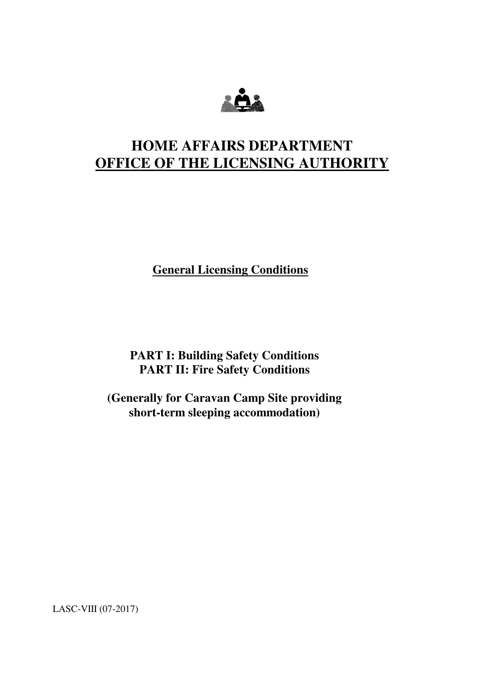

# **HOME AFFAIRS DEPARTMENT OFFICE OF THE LICENSING AUTHORITY**

**General Licensing Conditions** 

**PART I: Building Safety Conditions PART II: Fire Safety Conditions** 

**(Generally for Caravan Camp Site providing short-term sleeping accommodation)** 

LASC-VIII (07-2017)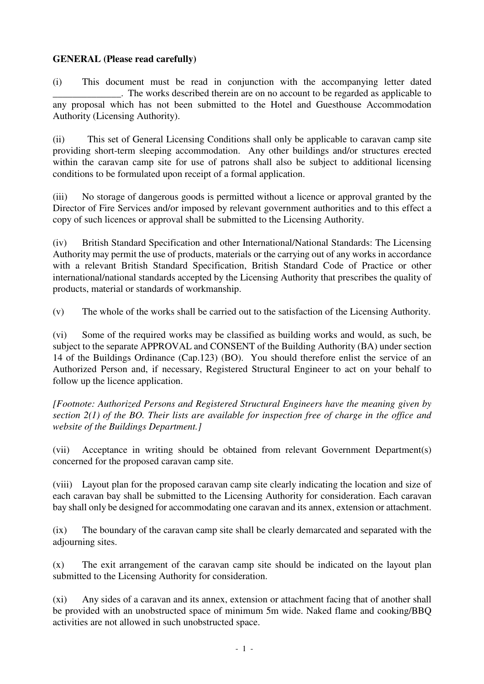#### **GENERAL (Please read carefully)**

(i) This document must be read in conjunction with the accompanying letter dated \_\_\_\_\_\_\_\_\_\_\_\_\_\_.The works described therein are on no account to be regarded as applicable to any proposal which has not been submitted to the Hotel and Guesthouse Accommodation Authority (Licensing Authority).

(ii) This set of General Licensing Conditions shall only be applicable to caravan camp site providing short-term sleeping accommodation. Any other buildings and/or structures erected within the caravan camp site for use of patrons shall also be subject to additional licensing conditions to be formulated upon receipt of a formal application.

(iii) No storage of dangerous goods is permitted without a licence or approval granted by the Director of Fire Services and/or imposed by relevant government authorities and to this effect a copy of such licences or approval shall be submitted to the Licensing Authority.

(iv) British Standard Specification and other International/National Standards: The Licensing Authority may permit the use of products, materials or the carrying out of any works in accordance with a relevant British Standard Specification, British Standard Code of Practice or other international/national standards accepted by the Licensing Authority that prescribes the quality of products, material or standards of workmanship.

(v) The whole of the works shall be carried out to the satisfaction of the Licensing Authority.

(vi) Some of the required works may be classified as building works and would, as such, be subject to the separate APPROVAL and CONSENT of the Building Authority (BA) under section 14 of the Buildings Ordinance (Cap.123) (BO). You should therefore enlist the service of an Authorized Person and, if necessary, Registered Structural Engineer to act on your behalf to follow up the licence application.

*[Footnote: Authorized Persons and Registered Structural Engineers have the meaning given by section 2(1) of the BO. Their lists are available for inspection free of charge in the office and website of the Buildings Department.]* 

(vii) Acceptance in writing should be obtained from relevant Government Department(s) concerned for the proposed caravan camp site.

(viii) Layout plan for the proposed caravan camp site clearly indicating the location and size of each caravan bay shall be submitted to the Licensing Authority for consideration. Each caravan bay shall only be designed for accommodating one caravan and its annex, extension or attachment.

(ix) The boundary of the caravan camp site shall be clearly demarcated and separated with the adjourning sites.

(x) The exit arrangement of the caravan camp site should be indicated on the layout plan submitted to the Licensing Authority for consideration.

(xi) Any sides of a caravan and its annex, extension or attachment facing that of another shall be provided with an unobstructed space of minimum 5m wide. Naked flame and cooking/BBQ activities are not allowed in such unobstructed space.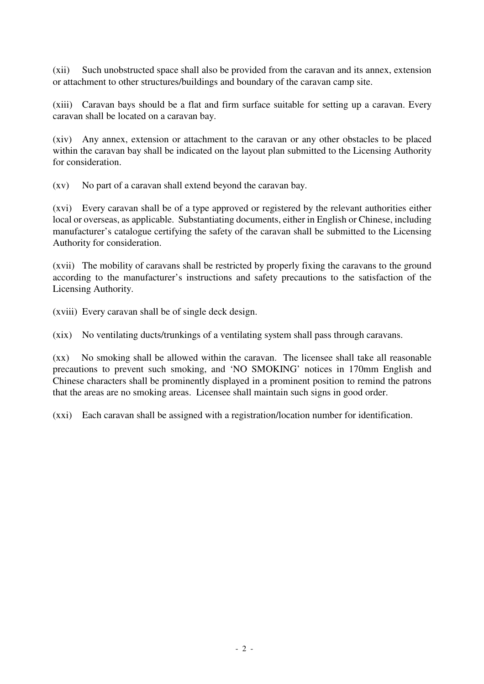(xii) Such unobstructed space shall also be provided from the caravan and its annex, extension or attachment to other structures/buildings and boundary of the caravan camp site.

(xiii) Caravan bays should be a flat and firm surface suitable for setting up a caravan. Every caravan shall be located on a caravan bay.

(xiv) Any annex, extension or attachment to the caravan or any other obstacles to be placed within the caravan bay shall be indicated on the layout plan submitted to the Licensing Authority for consideration.

(xv) No part of a caravan shall extend beyond the caravan bay.

(xvi) Every caravan shall be of a type approved or registered by the relevant authorities either local or overseas, as applicable. Substantiating documents, either in English or Chinese, including manufacturer's catalogue certifying the safety of the caravan shall be submitted to the Licensing Authority for consideration.

(xvii) The mobility of caravans shall be restricted by properly fixing the caravans to the ground according to the manufacturer's instructions and safety precautions to the satisfaction of the Licensing Authority.

(xviii) Every caravan shall be of single deck design.

(xix) No ventilating ducts/trunkings of a ventilating system shall pass through caravans.

(xx) No smoking shall be allowed within the caravan. The licensee shall take all reasonable precautions to prevent such smoking, and 'NO SMOKING' notices in 170mm English and Chinese characters shall be prominently displayed in a prominent position to remind the patrons that the areas are no smoking areas. Licensee shall maintain such signs in good order.

(xxi) Each caravan shall be assigned with a registration/location number for identification.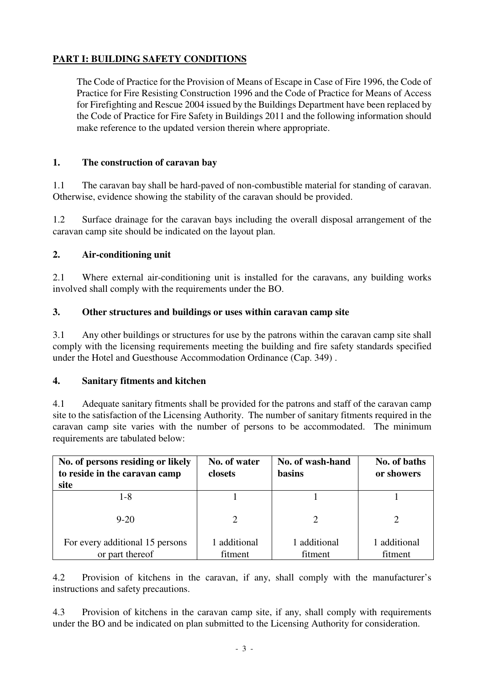# **PART I: BUILDING SAFETY CONDITIONS**

The Code of Practice for the Provision of Means of Escape in Case of Fire 1996, the Code of Practice for Fire Resisting Construction 1996 and the Code of Practice for Means of Access for Firefighting and Rescue 2004 issued by the Buildings Department have been replaced by the Code of Practice for Fire Safety in Buildings 2011 and the following information should make reference to the updated version therein where appropriate.

### **1. The construction of caravan bay**

1.1 The caravan bay shall be hard-paved of non-combustible material for standing of caravan. Otherwise, evidence showing the stability of the caravan should be provided.

1.2 Surface drainage for the caravan bays including the overall disposal arrangement of the caravan camp site should be indicated on the layout plan.

#### **2. Air-conditioning unit**

2.1 Where external air-conditioning unit is installed for the caravans, any building works involved shall comply with the requirements under the BO.

#### **3. Other structures and buildings or uses within caravan camp site**

3.1 Any other buildings or structures for use by the patrons within the caravan camp site shall comply with the licensing requirements meeting the building and fire safety standards specified under the Hotel and Guesthouse Accommodation Ordinance (Cap. 349) .

#### **4. Sanitary fitments and kitchen**

4.1 Adequate sanitary fitments shall be provided for the patrons and staff of the caravan camp site to the satisfaction of the Licensing Authority. The number of sanitary fitments required in the caravan camp site varies with the number of persons to be accommodated. The minimum requirements are tabulated below:

| No. of persons residing or likely<br>to reside in the caravan camp<br>site | No. of water<br>closets | No. of wash-hand<br><b>basins</b> | No. of baths<br>or showers |
|----------------------------------------------------------------------------|-------------------------|-----------------------------------|----------------------------|
| 1-8                                                                        |                         |                                   |                            |
| $9 - 20$                                                                   |                         |                                   |                            |
| For every additional 15 persons<br>or part thereof                         | 1 additional<br>fitment | 1 additional<br>fitment           | 1 additional<br>fitment    |

4.2 Provision of kitchens in the caravan, if any, shall comply with the manufacturer's instructions and safety precautions.

4.3 Provision of kitchens in the caravan camp site, if any, shall comply with requirements under the BO and be indicated on plan submitted to the Licensing Authority for consideration.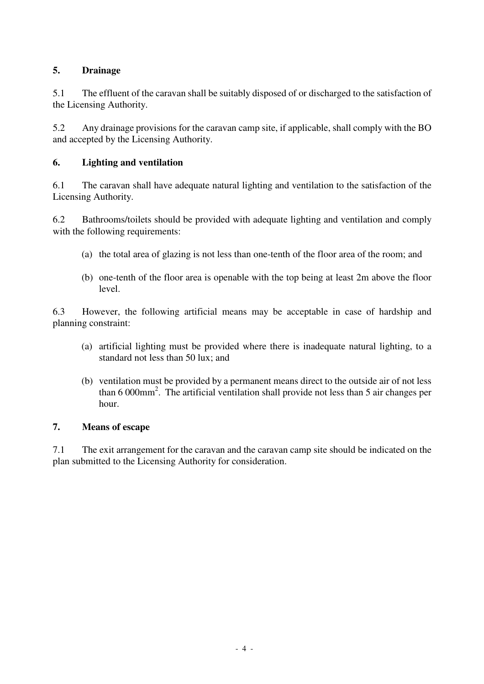# **5. Drainage**

5.1 The effluent of the caravan shall be suitably disposed of or discharged to the satisfaction of the Licensing Authority.

5.2 Any drainage provisions for the caravan camp site, if applicable, shall comply with the BO and accepted by the Licensing Authority.

# **6. Lighting and ventilation**

6.1 The caravan shall have adequate natural lighting and ventilation to the satisfaction of the Licensing Authority.

6.2 Bathrooms/toilets should be provided with adequate lighting and ventilation and comply with the following requirements:

- (a) the total area of glazing is not less than one-tenth of the floor area of the room; and
- (b) one-tenth of the floor area is openable with the top being at least 2m above the floor level.

6.3 However, the following artificial means may be acceptable in case of hardship and planning constraint:

- (a) artificial lighting must be provided where there is inadequate natural lighting, to a standard not less than 50 lux; and
- (b) ventilation must be provided by a permanent means direct to the outside air of not less than  $6000$ mm<sup>2</sup>. The artificial ventilation shall provide not less than  $5$  air changes per hour.

# **7. Means of escape**

7.1 The exit arrangement for the caravan and the caravan camp site should be indicated on the plan submitted to the Licensing Authority for consideration.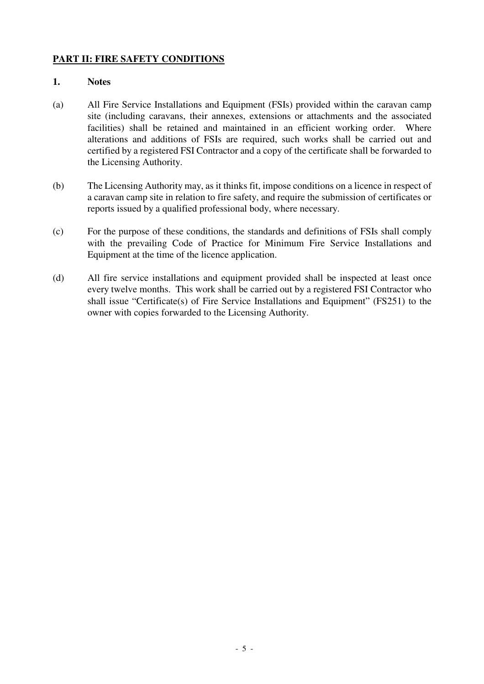# **PART II: FIRE SAFETY CONDITIONS**

#### **1. Notes**

- (a) All Fire Service Installations and Equipment (FSIs) provided within the caravan camp site (including caravans, their annexes, extensions or attachments and the associated facilities) shall be retained and maintained in an efficient working order. Where alterations and additions of FSIs are required, such works shall be carried out and certified by a registered FSI Contractor and a copy of the certificate shall be forwarded to the Licensing Authority.
- (b) The Licensing Authority may, as it thinks fit, impose conditions on a licence in respect of a caravan camp site in relation to fire safety, and require the submission of certificates or reports issued by a qualified professional body, where necessary.
- (c) For the purpose of these conditions, the standards and definitions of FSIs shall comply with the prevailing Code of Practice for Minimum Fire Service Installations and Equipment at the time of the licence application.
- (d) All fire service installations and equipment provided shall be inspected at least once every twelve months. This work shall be carried out by a registered FSI Contractor who shall issue "Certificate(s) of Fire Service Installations and Equipment" (FS251) to the owner with copies forwarded to the Licensing Authority.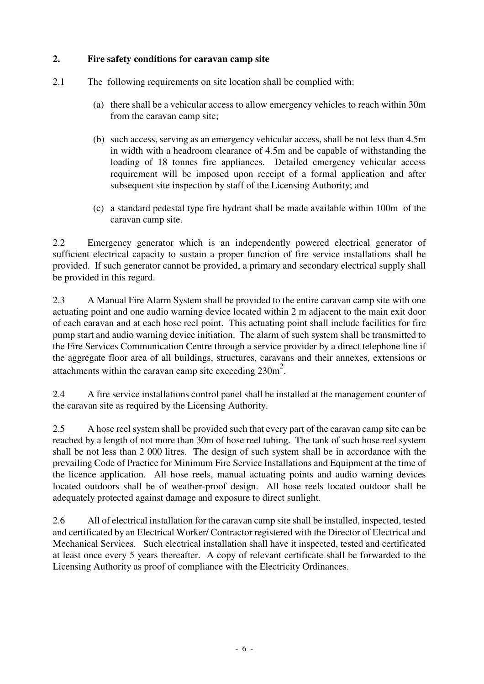# **2. Fire safety conditions for caravan camp site**

- 2.1 The following requirements on site location shall be complied with:
	- (a) there shall be a vehicular access to allow emergency vehicles to reach within 30m from the caravan camp site;
	- (b) such access, serving as an emergency vehicular access, shall be not less than 4.5m in width with a headroom clearance of 4.5m and be capable of withstanding the loading of 18 tonnes fire appliances. Detailed emergency vehicular access requirement will be imposed upon receipt of a formal application and after subsequent site inspection by staff of the Licensing Authority; and
	- (c) a standard pedestal type fire hydrant shall be made available within 100m of the caravan camp site.

2.2 Emergency generator which is an independently powered electrical generator of sufficient electrical capacity to sustain a proper function of fire service installations shall be provided. If such generator cannot be provided, a primary and secondary electrical supply shall be provided in this regard.

2.3 A Manual Fire Alarm System shall be provided to the entire caravan camp site with one actuating point and one audio warning device located within 2 m adjacent to the main exit door of each caravan and at each hose reel point. This actuating point shall include facilities for fire pump start and audio warning device initiation. The alarm of such system shall be transmitted to the Fire Services Communication Centre through a service provider by a direct telephone line if the aggregate floor area of all buildings, structures, caravans and their annexes, extensions or attachments within the caravan camp site exceeding  $230m^2$ .

2.4 A fire service installations control panel shall be installed at the management counter of the caravan site as required by the Licensing Authority.

2.5 A hose reel system shall be provided such that every part of the caravan camp site can be reached by a length of not more than 30m of hose reel tubing. The tank of such hose reel system shall be not less than 2 000 litres. The design of such system shall be in accordance with the prevailing Code of Practice for Minimum Fire Service Installations and Equipment at the time of the licence application. All hose reels, manual actuating points and audio warning devices located outdoors shall be of weather-proof design. All hose reels located outdoor shall be adequately protected against damage and exposure to direct sunlight.

2.6 All of electrical installation for the caravan camp site shall be installed, inspected, tested and certificated by an Electrical Worker/ Contractor registered with the Director of Electrical and Mechanical Services. Such electrical installation shall have it inspected, tested and certificated at least once every 5 years thereafter. A copy of relevant certificate shall be forwarded to the Licensing Authority as proof of compliance with the Electricity Ordinances.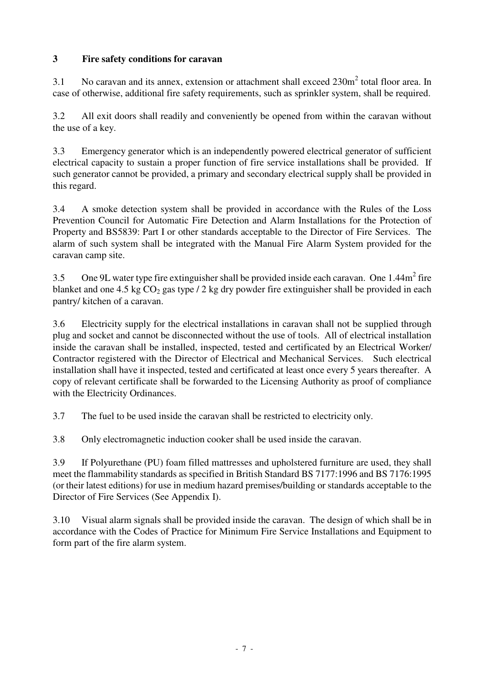# **3 Fire safety conditions for caravan**

3.1 No caravan and its annex, extension or attachment shall exceed  $230m^2$  total floor area. In case of otherwise, additional fire safety requirements, such as sprinkler system, shall be required.

3.2 All exit doors shall readily and conveniently be opened from within the caravan without the use of a key.

3.3 Emergency generator which is an independently powered electrical generator of sufficient electrical capacity to sustain a proper function of fire service installations shall be provided. If such generator cannot be provided, a primary and secondary electrical supply shall be provided in this regard.

3.4 A smoke detection system shall be provided in accordance with the Rules of the Loss Prevention Council for Automatic Fire Detection and Alarm Installations for the Protection of Property and BS5839: Part I or other standards acceptable to the Director of Fire Services. The alarm of such system shall be integrated with the Manual Fire Alarm System provided for the caravan camp site.

3.5 One 9L water type fire extinguisher shall be provided inside each caravan. One  $1.44m<sup>2</sup>$  fire blanket and one 4.5 kg  $CO_2$  gas type / 2 kg dry powder fire extinguisher shall be provided in each pantry/ kitchen of a caravan.

3.6 Electricity supply for the electrical installations in caravan shall not be supplied through plug and socket and cannot be disconnected without the use of tools. All of electrical installation inside the caravan shall be installed, inspected, tested and certificated by an Electrical Worker/ Contractor registered with the Director of Electrical and Mechanical Services. Such electrical installation shall have it inspected, tested and certificated at least once every 5 years thereafter. A copy of relevant certificate shall be forwarded to the Licensing Authority as proof of compliance with the Electricity Ordinances.

3.7 The fuel to be used inside the caravan shall be restricted to electricity only.

3.8 Only electromagnetic induction cooker shall be used inside the caravan.

3.9 If Polyurethane (PU) foam filled mattresses and upholstered furniture are used, they shall meet the flammability standards as specified in British Standard BS 7177:1996 and BS 7176:1995 (or their latest editions) for use in medium hazard premises/building or standards acceptable to the Director of Fire Services (See Appendix I).

3.10 Visual alarm signals shall be provided inside the caravan. The design of which shall be in accordance with the Codes of Practice for Minimum Fire Service Installations and Equipment to form part of the fire alarm system.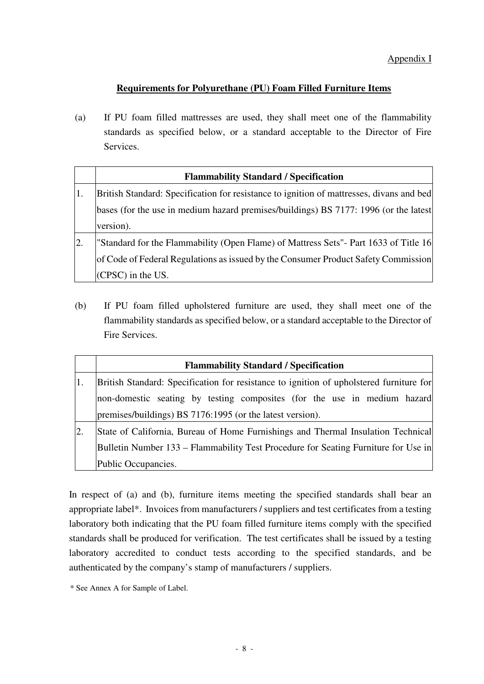# **Requirements for Polyurethane (PU) Foam Filled Furniture Items**

(a) If PU foam filled mattresses are used, they shall meet one of the flammability standards as specified below, or a standard acceptable to the Director of Fire Services.

|    | <b>Flammability Standard / Specification</b>                                             |  |  |  |
|----|------------------------------------------------------------------------------------------|--|--|--|
| 1. | British Standard: Specification for resistance to ignition of mattresses, divans and bed |  |  |  |
|    | bases (for the use in medium hazard premises/buildings) BS 7177: 1996 (or the latest     |  |  |  |
|    | version).                                                                                |  |  |  |
| 2. | "Standard for the Flammability (Open Flame) of Mattress Sets" - Part 1633 of Title 16    |  |  |  |
|    | of Code of Federal Regulations as issued by the Consumer Product Safety Commission       |  |  |  |
|    | (CPSC) in the US.                                                                        |  |  |  |

(b) If PU foam filled upholstered furniture are used, they shall meet one of the flammability standards as specified below, or a standard acceptable to the Director of Fire Services.

|                  | <b>Flammability Standard / Specification</b>                                            |  |  |  |  |  |  |
|------------------|-----------------------------------------------------------------------------------------|--|--|--|--|--|--|
|                  | British Standard: Specification for resistance to ignition of upholstered furniture for |  |  |  |  |  |  |
|                  | non-domestic seating by testing composites (for the use in medium hazard)               |  |  |  |  |  |  |
|                  | premises/buildings) BS 7176:1995 (or the latest version).                               |  |  |  |  |  |  |
| $\overline{2}$ . | State of California, Bureau of Home Furnishings and Thermal Insulation Technical        |  |  |  |  |  |  |
|                  | Bulletin Number 133 – Flammability Test Procedure for Seating Furniture for Use in      |  |  |  |  |  |  |
|                  | Public Occupancies.                                                                     |  |  |  |  |  |  |

In respect of (a) and (b), furniture items meeting the specified standards shall bear an appropriate label\*. Invoices from manufacturers / suppliers and test certificates from a testing laboratory both indicating that the PU foam filled furniture items comply with the specified standards shall be produced for verification. The test certificates shall be issued by a testing laboratory accredited to conduct tests according to the specified standards, and be authenticated by the company's stamp of manufacturers / suppliers.

\* See Annex A for Sample of Label.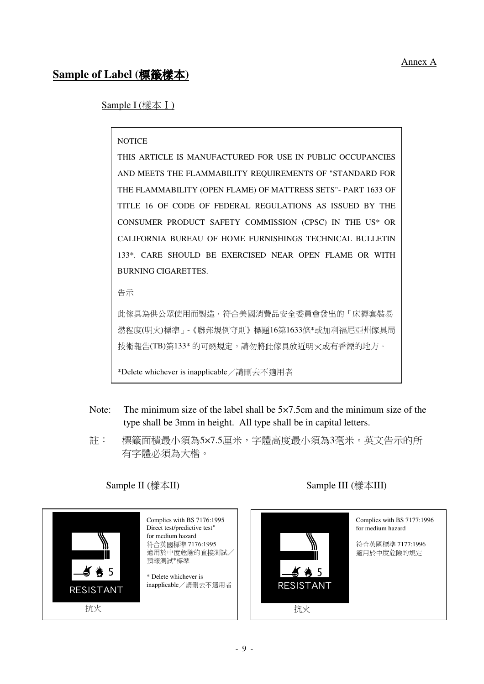# **Sample of Label (**標籤樣本**)**

Sample I (樣本I)

#### **NOTICE**

THIS ARTICLE IS MANUFACTURED FOR USE IN PUBLIC OCCUPANCIES AND MEETS THE FLAMMABILITY REQUIREMENTS OF "STANDARD FOR THE FLAMMABILITY (OPEN FLAME) OF MATTRESS SETS"- PART 1633 OF TITLE 16 OF CODE OF FEDERAL REGULATIONS AS ISSUED BY THE CONSUMER PRODUCT SAFETY COMMISSION (CPSC) IN THE US\* OR CALIFORNIA BUREAU OF HOME FURNISHINGS TECHNICAL BULLETIN 133\*. CARE SHOULD BE EXERCISED NEAR OPEN FLAME OR WITH BURNING CIGARETTES.

告示

此傢具為供公眾使用而製造,符合美國消費品安全委員會發出的「床褥套裝易 燃程度(明火)標準」-《聯邦規例守則》標題16第1633條\*或加利福尼亞州傢具局 技術報告(TB)第133\* 的可燃規定,請勿將此傢具放近明火或有香煙的地方。

\*Delete whichever is inapplicable/請刪去不適用者

- Note: The minimum size of the label shall be 5×7.5cm and the minimum size of the type shall be 3mm in height. All type shall be in capital letters.
- 註: 標籤面積最小須為5×7.5厘米,字體高度最小須為3毫米。英文告示的所 有字體必須為大楷。



Complies with BS 7176:1995 Direct test/predictive test<sup>\*</sup> for medium hazard 符合英國標準 7176:1995 適用於中度危險的直接測試/ 預報測試\*標準

\* Delete whichever is inapplicable/請刪去不適用者

# Sample II (樣本II) Sample III (樣本III)